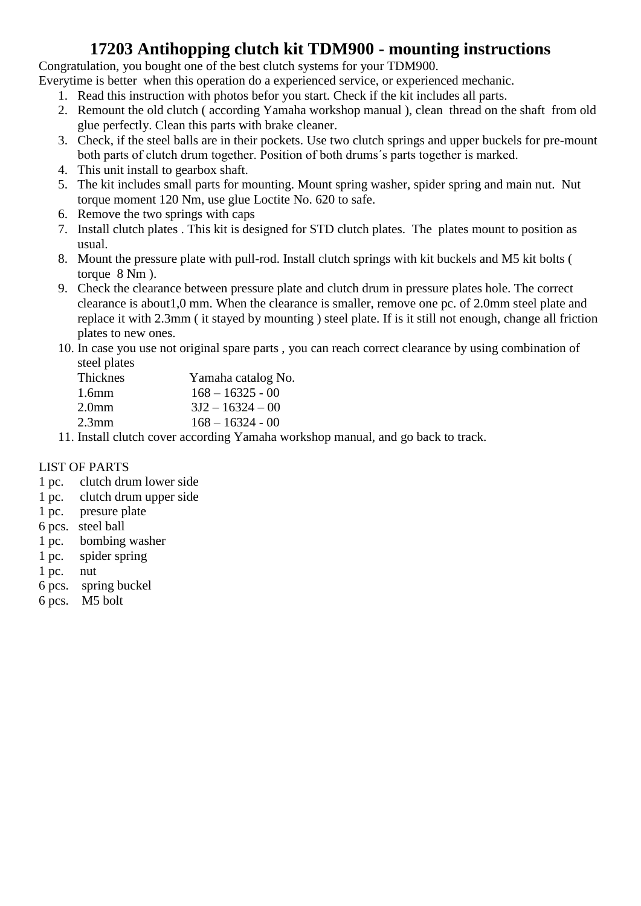## **17203 Antihopping clutch kit TDM900 - mounting instructions**

Congratulation, you bought one of the best clutch systems for your TDM900.

Everytime is better when this operation do a experienced service, or experienced mechanic.

- 1. Read this instruction with photos befor you start. Check if the kit includes all parts.
- 2. Remount the old clutch ( according Yamaha workshop manual ), clean thread on the shaft from old glue perfectly. Clean this parts with brake cleaner.
- 3. Check, if the steel balls are in their pockets. Use two clutch springs and upper buckels for pre-mount both parts of clutch drum together. Position of both drums´s parts together is marked.
- 4. This unit install to gearbox shaft.
- 5. The kit includes small parts for mounting. Mount spring washer, spider spring and main nut. Nut torque moment 120 Nm, use glue Loctite No. 620 to safe.
- 6. Remove the two springs with caps
- 7. Install clutch plates . This kit is designed for STD clutch plates. The plates mount to position as usual.
- 8. Mount the pressure plate with pull-rod. Install clutch springs with kit buckels and M5 kit bolts ( torque 8 Nm ).
- 9. Check the clearance between pressure plate and clutch drum in pressure plates hole. The correct clearance is about1,0 mm. When the clearance is smaller, remove one pc. of 2.0mm steel plate and replace it with 2.3mm ( it stayed by mounting ) steel plate. If is it still not enough, change all friction plates to new ones.
- 10. In case you use not original spare parts , you can reach correct clearance by using combination of steel plates

| <b>Thicknes</b>   | Yamaha catalog No.             |
|-------------------|--------------------------------|
| 1.6 <sub>mm</sub> | $168 - 16325 - 00$             |
| 2.0 <sub>mm</sub> | $3J2 - 16324 - 00$             |
| 2.3 <sub>mm</sub> | $168 - 16324 - 00$             |
|                   | $\cdots$ . The set of $\cdots$ |

11. Install clutch cover according Yamaha workshop manual, and go back to track.

## LIST OF PARTS

- 1 pc. clutch drum lower side
- 1 pc. clutch drum upper side
- 1 pc. presure plate
- 6 pcs. steel ball
- 1 pc. bombing washer
- 1 pc. spider spring
- 1 pc. nut
- 6 pcs. spring buckel
- 6 pcs. M5 bolt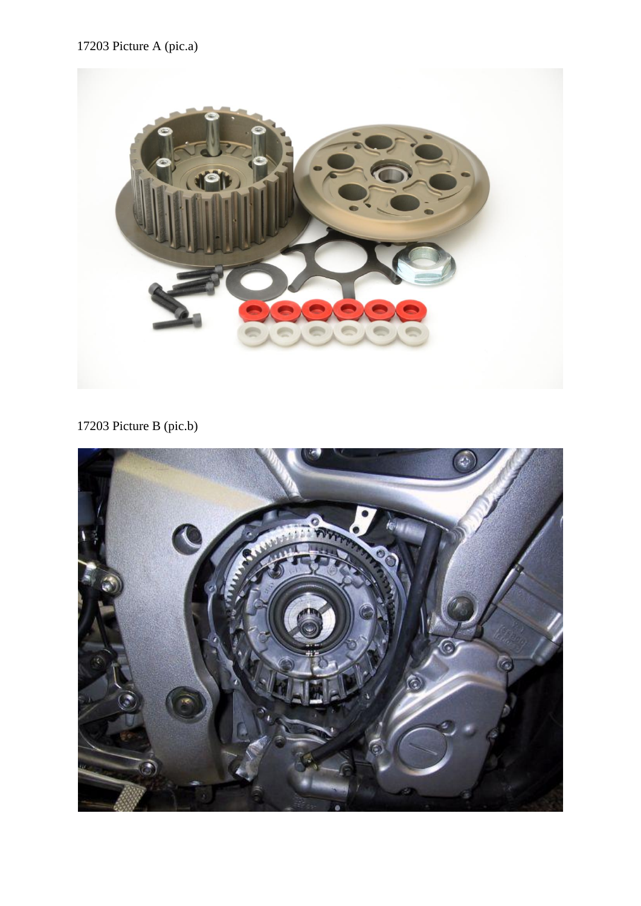17203 Picture A (pic.a)



17203 Picture B (pic.b)

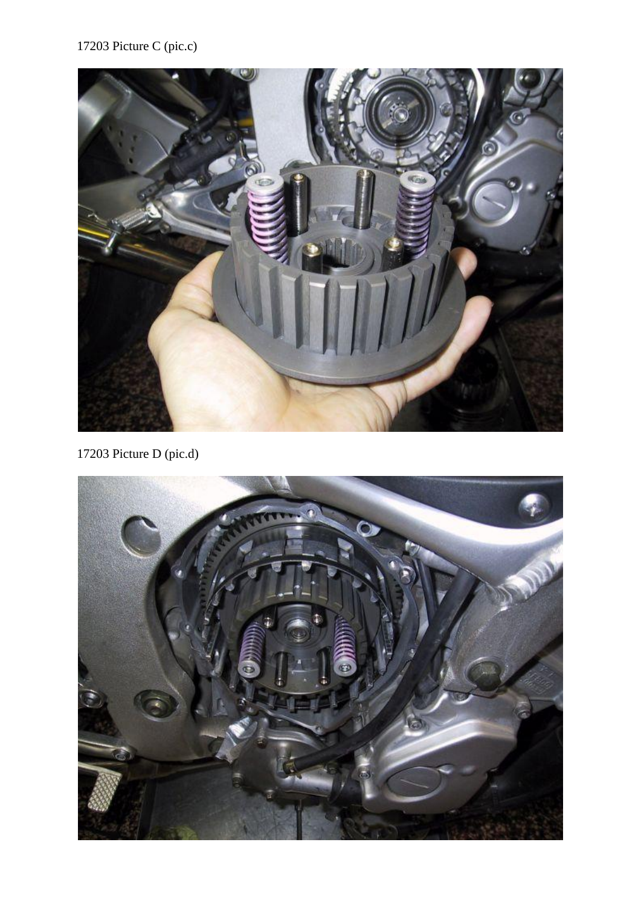

17203 Picture D (pic.d)

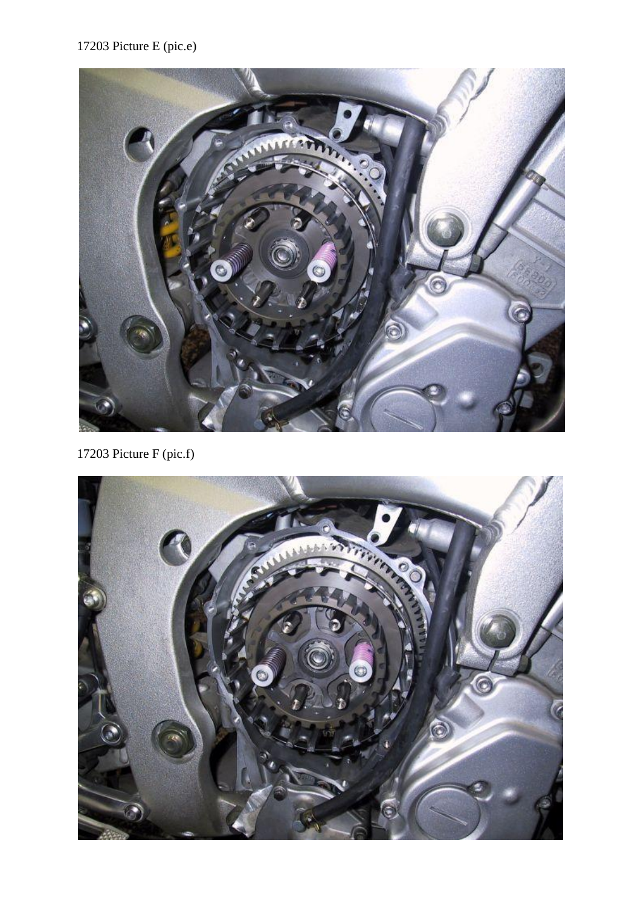## 17203 Picture E (pic.e)



17203 Picture F (pic.f)

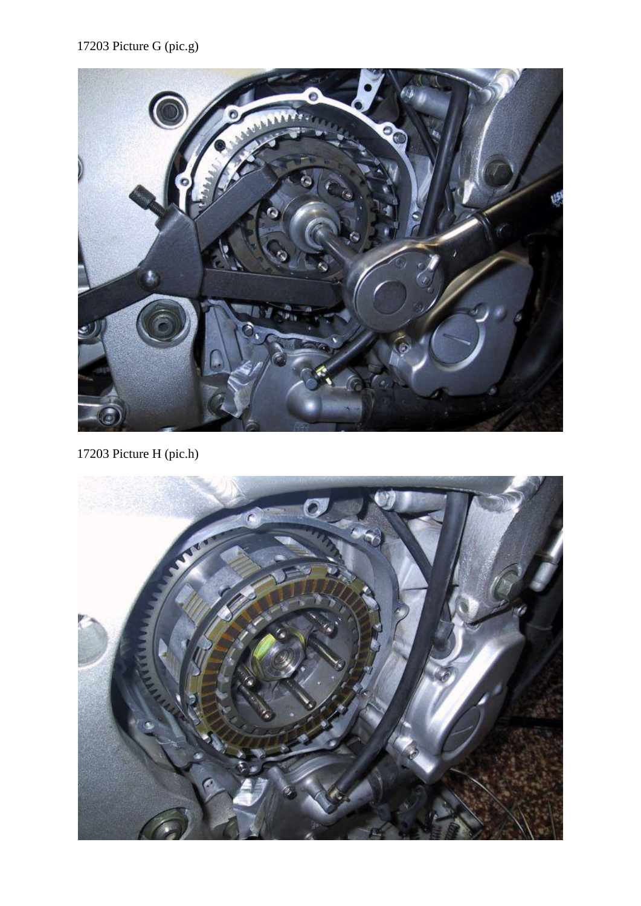## 17203 Picture G (pic.g)



17203 Picture H (pic.h)